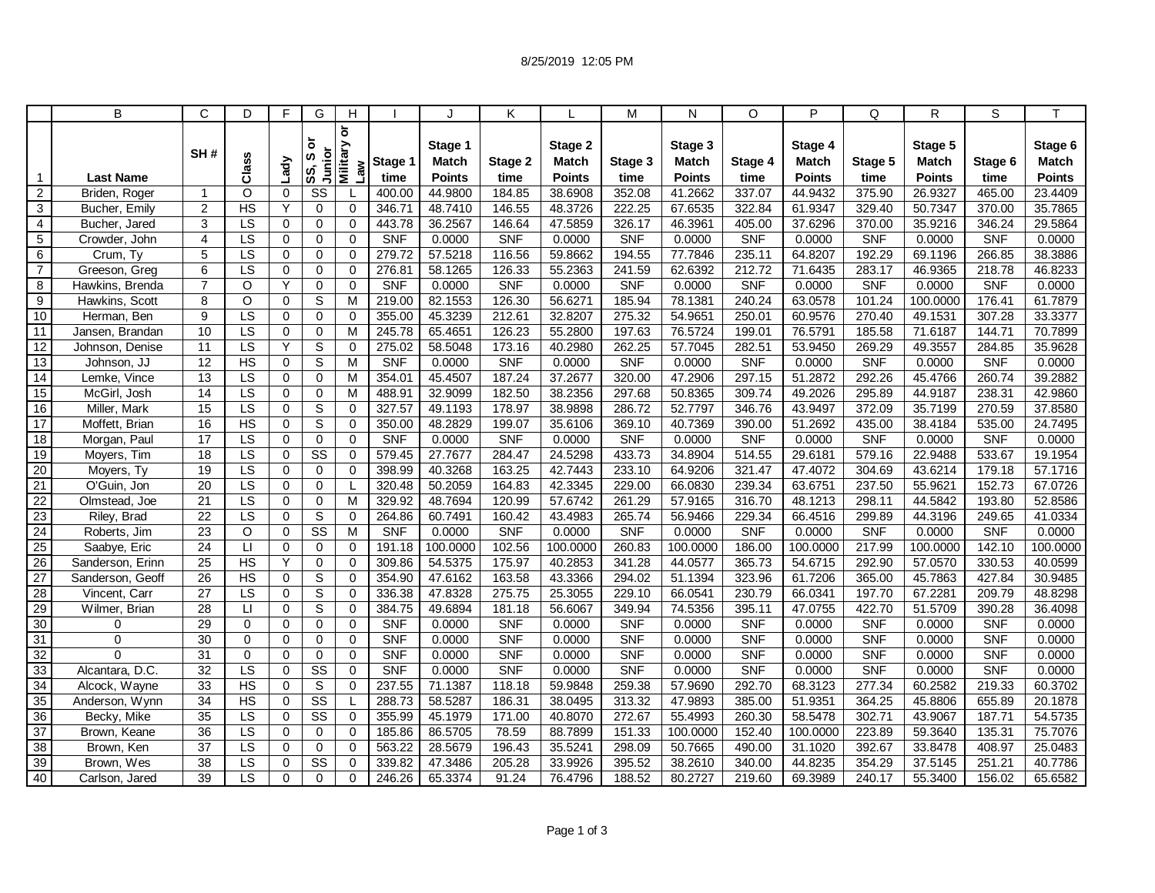|                 | B                | $\mathsf{C}$    | D                      | F           | G                        | H                           |            |                         | K          |                  | M          | N                       | O          | P                       | Q          | R                       | S          |                         |
|-----------------|------------------|-----------------|------------------------|-------------|--------------------------|-----------------------------|------------|-------------------------|------------|------------------|------------|-------------------------|------------|-------------------------|------------|-------------------------|------------|-------------------------|
|                 |                  | SH#             | Class                  | Lady        | ৯<br>Junior<br>ဖာ<br>SS, | ð<br><b>Military</b><br>Law | Stage 1    | Stage 1<br><b>Match</b> | Stage 2    | Stage 2<br>Match | Stage 3    | Stage 3<br><b>Match</b> | Stage 4    | Stage 4<br><b>Match</b> | Stage 5    | Stage 5<br><b>Match</b> | Stage 6    | Stage 6<br><b>Match</b> |
| $\mathbf 1$     | <b>Last Name</b> |                 |                        |             |                          |                             | time       | Points                  | time       | Points           | time       | <b>Points</b>           | time       | <b>Points</b>           | time       | <b>Points</b>           | time       | <b>Points</b>           |
| $\overline{2}$  | Briden, Roger    | $\overline{1}$  | $\circ$                | $\mathbf 0$ | SS                       |                             | 400.00     | 44.9800                 | 184.85     | 38.6908          | 352.08     | 41.2662                 | 337.07     | 44.9432                 | 375.90     | 26.9327                 | 465.00     | 23.4409                 |
| 3               | Bucher, Emily    | $\overline{2}$  | H <sub>S</sub>         | Y           | $\mathbf 0$              | $\Omega$                    | 346.71     | 48.7410                 | 146.55     | 48.3726          | 222.25     | 67.6535                 | 322.84     | 61.9347                 | 329.40     | 50.7347                 | 370.00     | 35.7865                 |
| $\overline{4}$  | Bucher, Jared    | 3               | LS                     | 0           | $\mathbf 0$              | 0                           | 443.78     | 36.2567                 | 146.64     | 47.5859          | 326.17     | 46.3961                 | 405.00     | 37.6296                 | 370.00     | 35.9216                 | 346.24     | 29.5864                 |
| $\sqrt{5}$      | Crowder, John    | $\overline{4}$  | $\overline{LS}$        | $\mathbf 0$ | $\mathbf 0$              | $\Omega$                    | <b>SNF</b> | 0.0000                  | <b>SNF</b> | 0.0000           | <b>SNF</b> | 0.0000                  | <b>SNF</b> | 0.0000                  | <b>SNF</b> | 0.0000                  | <b>SNF</b> | 0.0000                  |
| 6               | Crum, Ty         | 5               | LS                     | 0           | $\mathbf 0$              | $\mathbf 0$                 | 279.72     | 57.5218                 | 116.56     | 59.8662          | 194.55     | 77.7846                 | 235.11     | 64.8207                 | 192.29     | 69.1196                 | 266.85     | 38.3886                 |
| $\overline{7}$  | Greeson, Greg    | 6               | $\overline{\text{LS}}$ | 0           | $\Omega$                 | $\Omega$                    | 276.81     | 58.1265                 | 126.33     | 55.2363          | 241.59     | 62.6392                 | 212.72     | 71.6435                 | 283.17     | 46.9365                 | 218.78     | 46.8233                 |
| 8               | Hawkins, Brenda  | $\overline{7}$  | $\circ$                | Y           | $\mathbf 0$              | 0                           | <b>SNF</b> | 0.0000                  | <b>SNF</b> | 0.0000           | <b>SNF</b> | 0.0000                  | <b>SNF</b> | 0.0000                  | <b>SNF</b> | 0.0000                  | <b>SNF</b> | 0.0000                  |
| 9               | Hawkins, Scott   | 8               | $\circ$                | 0           | S                        | M                           | 219.00     | 82.1553                 | 126.30     | 56.6271          | 185.94     | 78.1381                 | 240.24     | 63.0578                 | 101.24     | 100.0000                | 176.41     | 61.7879                 |
| 10              | Herman, Ben      | 9               | $\overline{\text{LS}}$ | $\Omega$    | $\Omega$                 | $\Omega$                    | 355.00     | 45.3239                 | 212.61     | 32.8207          | 275.32     | 54.9651                 | 250.01     | 60.9576                 | 270.40     | 49.1531                 | 307.28     | 33.3377                 |
| $\overline{11}$ | Jansen, Brandan  | 10              | LS                     | 0           | $\mathbf 0$              | M                           | 245.78     | 65.4651                 | 126.23     | 55.2800          | 197.63     | 76.5724                 | 199.01     | 76.5791                 | 185.58     | 71.6187                 | 144.71     | 70.7899                 |
| $\overline{12}$ | Johnson, Denise  | 11              | $\overline{LS}$        | Y           | S                        | $\Omega$                    | 275.02     | 58.5048                 | 173.16     | 40.2980          | 262.25     | 57.7045                 | 282.51     | 53.9450                 | 269.29     | 49.3557                 | 284.85     | 35.9628                 |
| 13              | Johnson, JJ      | 12              | <b>HS</b>              | 0           | S                        | M                           | <b>SNF</b> | 0.0000                  | <b>SNF</b> | 0.0000           | <b>SNF</b> | 0.0000                  | <b>SNF</b> | 0.0000                  | <b>SNF</b> | 0.0000                  | <b>SNF</b> | 0.0000                  |
| 14              | Lemke, Vince     | 13              | $\overline{\text{LS}}$ | $\mathbf 0$ | $\mathbf 0$              | M                           | 354.01     | 45.4507                 | 187.24     | 37.2677          | 320.00     | 47.2906                 | 297.15     | 51.2872                 | 292.26     | 45.4766                 | 260.74     | 39.2882                 |
| 15              | McGirl, Josh     | 14              | $\overline{LS}$        | $\Omega$    | $\mathbf 0$              | M                           | 488.91     | 32.9099                 | 182.50     | 38.2356          | 297.68     | 50.8365                 | 309.74     | 49.2026                 | 295.89     | 44.9187                 | 238.31     | 42.9860                 |
| 16              | Miller, Mark     | $\overline{15}$ | LS                     | 0           | S                        | $\Omega$                    | 327.57     | 49.1193                 | 178.97     | 38.9898          | 286.72     | 52.7797                 | 346.76     | 43.9497                 | 372.09     | 35.7199                 | 270.59     | 37.8580                 |
| $\overline{17}$ | Moffett, Brian   | 16              | H <sub>S</sub>         | $\mathbf 0$ | S                        | $\mathbf 0$                 | 350.00     | 48.2829                 | 199.07     | 35.6106          | 369.10     | 40.7369                 | 390.00     | 51.2692                 | 435.00     | 38.4184                 | 535.00     | 24.7495                 |
| $\overline{18}$ | Morgan, Paul     | 17              | LS                     | $\Omega$    | $\mathbf 0$              | $\Omega$                    | <b>SNF</b> | 0.0000                  | <b>SNF</b> | 0.0000           | <b>SNF</b> | 0.0000                  | <b>SNF</b> | 0.0000                  | <b>SNF</b> | 0.0000                  | <b>SNF</b> | 0.0000                  |
| 19              | Moyers, Tim      | 18              | LS                     | 0           | $\overline{\text{ss}}$   | 0                           | 579.45     | 27.7677                 | 284.47     | 24.5298          | 433.73     | 34.8904                 | 514.55     | 29.6181                 | 579.16     | 22.9488                 | 533.67     | 19.1954                 |
| 20              | Movers, Ty       | 19              | $\overline{\text{LS}}$ | $\mathbf 0$ | $\mathbf 0$              | 0                           | 398.99     | 40.3268                 | 163.25     | 42.7443          | 233.10     | 64.9206                 | 321.47     | 47.4072                 | 304.69     | 43.6214                 | 179.18     | 57.1716                 |
| 21              | O'Guin, Jon      | $\overline{20}$ | $\overline{LS}$        | 0           | $\mathbf 0$              |                             | 320.48     | 50.2059                 | 164.83     | 42.3345          | 229.00     | 66.0830                 | 239.34     | 63.6751                 | 237.50     | 55.9621                 | 152.73     | 67.0726                 |
| $\overline{22}$ | Olmstead, Joe    | 21              | LS                     | 0           | $\mathbf 0$              | M                           | 329.92     | 48.7694                 | 120.99     | 57.6742          | 261.29     | 57.9165                 | 316.70     | 48.1213                 | 298.11     | 44.5842                 | 193.80     | 52.8586                 |
| 23              | Riley, Brad      | $\overline{22}$ | LS                     | $\mathbf 0$ | S                        | 0                           | 264.86     | 60.7491                 | 160.42     | 43.4983          | 265.74     | 56.9466                 | 229.34     | 66.4516                 | 299.89     | 44.3196                 | 249.65     | 41.0334                 |
| 24              | Roberts, Jim     | $\overline{23}$ | $\circ$                | $\mathbf 0$ | $\overline{\text{SS}}$   | M                           | <b>SNF</b> | 0.0000                  | <b>SNF</b> | 0.0000           | <b>SNF</b> | 0.0000                  | <b>SNF</b> | 0.0000                  | <b>SNF</b> | 0.0000                  | <b>SNF</b> | 0.0000                  |
| 25              | Saabye, Eric     | 24              | $\Box$                 | 0           | 0                        | 0                           | 191.18     | 100.0000                | 102.56     | 100.0000         | 260.83     | 100.0000                | 186.00     | 100.0000                | 217.99     | 100.0000                | 142.10     | 100.0000                |
| 26              | Sanderson, Erinn | 25              | HS                     | Y           | $\mathbf 0$              | 0                           | 309.86     | 54.5375                 | 175.97     | 40.2853          | 341.28     | 44.0577                 | 365.73     | 54.6715                 | 292.90     | 57.0570                 | 330.53     | 40.0599                 |
| 27              | Sanderson, Geoff | $\overline{26}$ | H <sub>S</sub>         | 0           | S                        | $\Omega$                    | 354.90     | 47.6162                 | 163.58     | 43.3366          | 294.02     | 51.1394                 | 323.96     | 61.7206                 | 365.00     | 45.7863                 | 427.84     | 30.9485                 |
| 28              | Vincent, Carr    | $\overline{27}$ | $\overline{\text{LS}}$ | 0           | $\overline{s}$           | 0                           | 336.38     | 47.8328                 | 275.75     | 25.3055          | 229.10     | 66.0541                 | 230.79     | 66.0341                 | 197.70     | 67.2281                 | 209.79     | 48.8298                 |
| $\overline{29}$ | Wilmer, Brian    | $\overline{28}$ | $\Box$                 | $\Omega$    | S                        | $\Omega$                    | 384.75     | 49.6894                 | 181.18     | 56.6067          | 349.94     | 74.5356                 | 395.11     | 47.0755                 | 422.70     | 51.5709                 | 390.28     | 36.4098                 |
| 30              | 0                | $\overline{29}$ | $\mathbf 0$            | $\mathbf 0$ | $\mathbf 0$              | $\mathbf 0$                 | SNF        | 0.0000                  | <b>SNF</b> | 0.0000           | <b>SNF</b> | 0.0000                  | <b>SNF</b> | 0.0000                  | <b>SNF</b> | 0.0000                  | <b>SNF</b> | 0.0000                  |
| 31              | $\Omega$         | $\overline{30}$ | $\Omega$               | $\Omega$    | $\mathbf 0$              | $\mathbf 0$                 | <b>SNF</b> | 0.0000                  | <b>SNF</b> | 0.0000           | <b>SNF</b> | 0.0000                  | <b>SNF</b> | 0.0000                  | <b>SNF</b> | 0.0000                  | <b>SNF</b> | 0.0000                  |
| 32              | $\Omega$         | 31              | $\Omega$               | 0           | $\mathbf 0$              | $\Omega$                    | <b>SNF</b> | 0.0000                  | <b>SNF</b> | 0.0000           | <b>SNF</b> | 0.0000                  | <b>SNF</b> | 0.0000                  | <b>SNF</b> | 0.0000                  | <b>SNF</b> | 0.0000                  |
| 33              | Alcantara, D.C.  | $\overline{32}$ | $\overline{LS}$        | $\mathbf 0$ | $\overline{\text{ss}}$   | $\mathbf 0$                 | <b>SNF</b> | 0.0000                  | <b>SNF</b> | 0.0000           | <b>SNF</b> | 0.0000                  | <b>SNF</b> | 0.0000                  | <b>SNF</b> | 0.0000                  | <b>SNF</b> | 0.0000                  |
| $\overline{34}$ | Alcock, Wayne    | 33              | $\overline{HS}$        | 0           | S                        | 0                           | 237.55     | 71.1387                 | 118.18     | 59.9848          | 259.38     | 57.9690                 | 292.70     | 68.3123                 | 277.34     | 60.2582                 | 219.33     | 60.3702                 |
| 35              | Anderson, Wynn   | 34              | $\overline{HS}$        | 0           | $\overline{\text{ss}}$   |                             | 288.73     | 58.5287                 | 186.31     | 38.0495          | 313.32     | 47.9893                 | 385.00     | 51.9351                 | 364.25     | 45.8806                 | 655.89     | 20.1878                 |
| 36              | Becky, Mike      | 35              | LS                     | $\mathbf 0$ | $\overline{\text{SS}}$   | $\mathbf 0$                 | 355.99     | 45.1979                 | 171.00     | 40.8070          | 272.67     | 55.4993                 | 260.30     | 58.5478                 | 302.71     | 43.9067                 | 187.71     | 54.5735                 |
| 37              | Brown, Keane     | 36              | $\overline{\text{LS}}$ | $\Omega$    | $\Omega$                 | $\Omega$                    | 185.86     | 86.5705                 | 78.59      | 88.7899          | 151.33     | 100.0000                | 152.40     | 100.0000                | 223.89     | 59.3640                 | 135.31     | 75.7076                 |
| 38              | Brown, Ken       | 37              | LS                     | 0           | $\mathbf 0$              | 0                           | 563.22     | 28.5679                 | 196.43     | 35.5241          | 298.09     | 50.7665                 | 490.00     | 31.1020                 | 392.67     | 33.8478                 | 408.97     | 25.0483                 |
| 39              | Brown, Wes       | 38              | LS                     | $\mathbf 0$ | $\overline{\text{ss}}$   | 0                           | 339.82     | 47.3486                 | 205.28     | 33.9926          | 395.52     | 38.2610                 | 340.00     | 44.8235                 | 354.29     | 37.5145                 | 251.21     | 40.7786                 |
| 40              | Carlson, Jared   | 39              | LS                     | $\Omega$    | $\Omega$                 | $\Omega$                    | 246.26     | 65.3374                 | 91.24      | 76.4796          | 188.52     | 80.2727                 | 219.60     | 69.3989                 | 240.17     | 55.3400                 | 156.02     | 65.6582                 |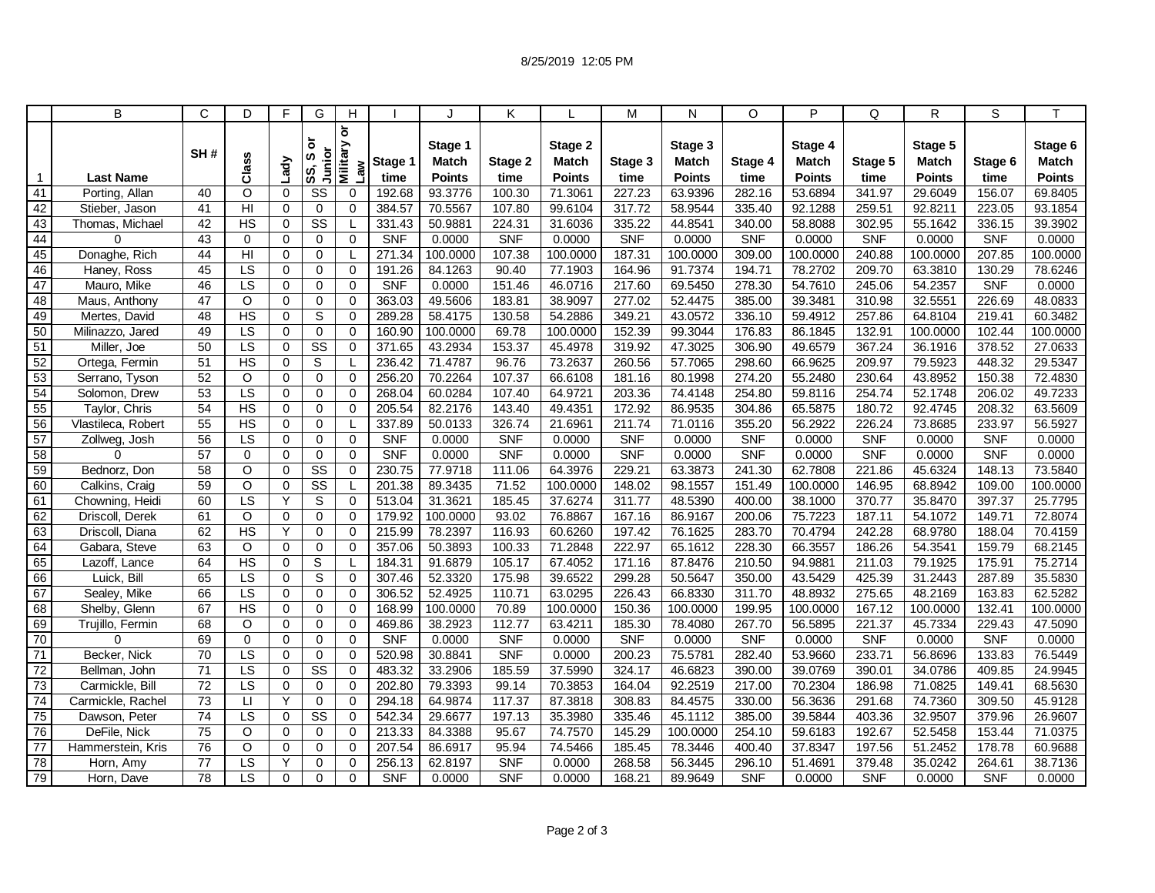|                 | B                           | C               | D                        | F                          | G                                     | H                                             |                      |                         | Κ             |                    | M                    | N                  | O                    | P                 | Q             | R                       | S             |                         |
|-----------------|-----------------------------|-----------------|--------------------------|----------------------------|---------------------------------------|-----------------------------------------------|----------------------|-------------------------|---------------|--------------------|----------------------|--------------------|----------------------|-------------------|---------------|-------------------------|---------------|-------------------------|
|                 |                             | SH#             | Class                    | Lady                       | ৯<br>Junior<br>ဖာ<br>SS,              | $\overline{\sigma}$<br><b>Military</b><br>Law | Stage 1              | Stage 1<br><b>Match</b> | Stage 2       | Stage 2<br>Match   | Stage 3              | Stage 3<br>Match   | Stage 4              | Stage 4<br>Match  | Stage 5       | Stage 5<br><b>Match</b> | Stage 6       | Stage 6<br><b>Match</b> |
| $\mathbf{1}$    | <b>Last Name</b>            |                 |                          |                            |                                       |                                               | time                 | <b>Points</b>           | time          | <b>Points</b>      | time                 | <b>Points</b>      | time                 | <b>Points</b>     | time          | <b>Points</b>           | time          | <b>Points</b>           |
| 41              | Porting, Allan              | 40              | $\Omega$                 | $\Omega$                   | SS                                    | $\mathbf 0$                                   | 192.68               | 93.3776                 | 100.30        | 71.3061            | 227.23               | 63.9396            | 282.16               | 53.6894           | 341.97        | 29.6049                 | 156.07        | 69.8405                 |
| 42              | Stieber, Jason              | 41              | HI<br><b>HS</b>          | $\Omega$                   | $\mathbf 0$<br>$\overline{\text{ss}}$ | $\Omega$                                      | 384.57               | 70.5567                 | 107.80        | 99.6104            | 317.72               | 58.9544            | 335.40               | 92.1288           | 259.51        | 92.8211                 | 223.05        | 93.1854                 |
| 43<br>44        | Thomas, Michael<br>$\Omega$ | 42<br>43        |                          | $\mathbf 0$                |                                       | $\Omega$                                      | 331.43<br><b>SNF</b> | 50.9881                 | 224.31<br>SNF | 31.6036            | 335.22<br><b>SNF</b> | 44.8541            | 340.00<br><b>SNF</b> | 58.8088<br>0.0000 | 302.95<br>SNF | 55.1642                 | 336.15<br>SNF | 39.3902                 |
| 45              | Donaghe, Rich               | 44              | $\mathbf 0$<br>HI        | $\mathbf 0$<br>$\mathbf 0$ | $\mathbf 0$<br>$\mathbf 0$            |                                               | 271.34               | 0.0000<br>100.0000      | 107.38        | 0.0000<br>100.0000 | 187.31               | 0.0000<br>100.0000 | 309.00               | 100.0000          | 240.88        | 0.0000<br>100.0000      | 207.85        | 0.0000<br>100.0000      |
| 46              | Haney, Ross                 | 45              | LS                       | $\Omega$                   | $\Omega$                              | $\Omega$                                      | 191.26               | 84.1263                 | 90.40         | 77.1903            | 164.96               | 91.7374            | 194.71               | 78.2702           | 209.70        | 63.3810                 | 130.29        | 78.6246                 |
| 47              | Mauro, Mike                 | 46              | LS                       | $\mathbf 0$                | 0                                     | $\mathbf 0$                                   | <b>SNF</b>           | 0.0000                  | 151.46        | 46.0716            | 217.60               | 69.5450            | 278.30               | 54.7610           | 245.06        | 54.2357                 | <b>SNF</b>    | 0.0000                  |
| 48              | Maus, Anthony               | 47              | $\circ$                  | $\mathbf 0$                | $\mathbf 0$                           | $\mathbf 0$                                   | 363.03               | 49.5606                 | 183.81        | 38.9097            | 277.02               | 52.4475            | 385.00               | 39.3481           | 310.98        | 32.5551                 | 226.69        | 48.0833                 |
| 49              | Mertes, David               | 48              | $\overline{HS}$          | $\Omega$                   | S                                     | 0                                             | 289.28               | 58.4175                 | 130.58        | 54.2886            | 349.21               | 43.0572            | 336.10               | 59.4912           | 257.86        | 64.8104                 | 219.41        | 60.3482                 |
| 50              | Milinazzo, Jared            | 49              | LS                       | 0                          | $\mathbf 0$                           | $\Omega$                                      | 160.90               | 100.0000                | 69.78         | 100.0000           | 152.39               | 99.3044            | 176.83               | 86.1845           | 132.91        | 100.0000                | 102.44        | 100.0000                |
| 51              | Miller, Joe                 | 50              | $\overline{LS}$          | $\Omega$                   | $\overline{\text{ss}}$                | $\Omega$                                      | 371.65               | 43.2934                 | 153.37        | 45.4978            | 319.92               | 47.3025            | 306.90               | 49.6579           | 367.24        | 36.1916                 | 378.52        | 27.0633                 |
| 52              | Ortega, Fermin              | 51              | <b>HS</b>                | $\mathbf 0$                | S                                     |                                               | 236.42               | 71.4787                 | 96.76         | 73.2637            | 260.56               | 57.7065            | 298.60               | 66.9625           | 209.97        | 79.5923                 | 448.32        | 29.5347                 |
| 53              | Serrano, Tyson              | 52              | $\circ$                  | $\mathbf 0$                | $\mathbf 0$                           | $\mathbf 0$                                   | 256.20               | 70.2264                 | 107.37        | 66.6108            | 181.16               | 80.1998            | 274.20               | 55.2480           | 230.64        | 43.8952                 | 150.38        | 72.4830                 |
| 54              | Solomon, Drew               | 53              | ΙS                       | 0                          | $\Omega$                              | $\mathbf 0$                                   | 268.04               | 60.0284                 | 107.40        | 64.9721            | 203.36               | 74.4148            | 254.80               | 59.8116           | 254.74        | 52.1748                 | 206.02        | 49.7233                 |
| 55              | Taylor, Chris               | 54              | H <sub>S</sub>           | $\mathbf 0$                | 0                                     | $\Omega$                                      | 205.54               | 82.2176                 | 143.40        | 49.4351            | 172.92               | 86.9535            | 304.86               | 65.5875           | 180.72        | 92.4745                 | 208.32        | 63.5609                 |
| 56              | Vlastileca, Robert          | $\overline{55}$ | H <sub>S</sub>           | $\mathbf 0$                | $\mathbf 0$                           |                                               | 337.89               | 50.0133                 | 326.74        | 21.6961            | 211.74               | 71.0116            | 355.20               | 56.2922           | 226.24        | 73.8685                 | 233.97        | 56.5927                 |
| 57              | Zollweg, Josh               | 56              | $\overline{LS}$          | $\Omega$                   | $\mathbf 0$                           | $\Omega$                                      | <b>SNF</b>           | 0.0000                  | <b>SNF</b>    | 0.0000             | <b>SNF</b>           | 0.0000             | <b>SNF</b>           | 0.0000            | <b>SNF</b>    | 0.0000                  | <b>SNF</b>    | 0.0000                  |
| 58              | 0                           | 57              | $\overline{0}$           | 0                          | $\mathbf 0$                           | $\mathbf 0$                                   | <b>SNF</b>           | 0.0000                  | SNF           | 0.0000             | <b>SNF</b>           | 0.0000             | <b>SNF</b>           | 0.0000            | <b>SNF</b>    | 0.0000                  | <b>SNF</b>    | 0.0000                  |
| 59              | Bednorz, Don                | 58              | $\circ$                  | $\mathbf 0$                | $\overline{\text{SS}}$                | $\mathbf 0$                                   | 230.75               | 77.9718                 | 111.06        | 64.3976            | 229.21               | 63.3873            | 241.30               | 62.7808           | 221.86        | 45.6324                 | 148.13        | 73.5840                 |
| 60              | Calkins, Craig              | 59              | $\Omega$                 | $\Omega$                   | $\overline{\text{ss}}$                |                                               | 201.38               | 89.3435                 | 71.52         | 100.0000           | 148.02               | 98.1557            | 151.49               | 100.0000          | 146.95        | 68.8942                 | 109.00        | 100.0000                |
| 61              | Chowning, Heidi             | 60              | LS                       | Y                          | S                                     | $\Omega$                                      | 513.04               | 31.3621                 | 185.45        | 37.6274            | 311.77               | 48.5390            | 400.00               | 38.1000           | 370.77        | 35.8470                 | 397.37        | 25.7795                 |
| 62              | Driscoll, Derek             | 61              | $\circ$                  | $\mathbf 0$                | $\overline{0}$                        | $\Omega$                                      | 179.92               | 100.0000                | 93.02         | 76.8867            | 167.16               | 86.9167            | 200.06               | 75.7223           | 187.11        | 54.1072                 | 149.71        | 72.8074                 |
| 63              | Driscoll, Diana             | 62              | <b>HS</b>                | Υ                          | $\mathbf 0$                           | $\Omega$                                      | 215.99               | 78.2397                 | 116.93        | 60.6260            | 197.42               | 76.1625            | 283.70               | 70.4794           | 242.28        | 68.9780                 | 188.04        | 70.4159                 |
| 64              | Gabara, Steve               | 63              | $\circ$                  | $\mathbf 0$                | $\mathbf 0$                           | $\mathbf 0$                                   | 357.06               | 50.3893                 | 100.33        | 71.2848            | 222.97               | 65.1612            | 228.30               | 66.3557           | 186.26        | 54.3541                 | 159.79        | 68.2145                 |
| 65              | Lazoff, Lance               | 64              | H <sub>S</sub>           | $\mathbf 0$                | S                                     |                                               | 184.31               | 91.6879                 | 105.17        | 67.4052            | 171.16               | 87.8476            | 210.50               | 94.9881           | 211.03        | 79.1925                 | 175.91        | 75.2714                 |
| 66              | Luick, Bill                 | 65              | LS                       | $\Omega$                   | S                                     | $\mathbf 0$                                   | 307.46               | 52.3320                 | 175.98        | 39.6522            | 299.28               | 50.5647            | 350.00               | 43.5429           | 425.39        | 31.2443                 | 287.89        | 35.5830                 |
| 67              | Sealey, Mike                | 66              | $\overline{\text{LS}}$   | $\Omega$                   | $\mathbf 0$                           | $\mathbf 0$                                   | 306.52               | 52.4925                 | 110.71        | 63.0295            | 226.43               | 66.8330            | 311.70               | 48.8932           | 275.65        | 48.2169                 | 163.83        | 62.5282                 |
| 68              | Shelby, Glenn               | 67              | $\overline{HS}$          | $\Omega$                   | $\Omega$                              | $\Omega$                                      | 168.99               | 100.0000                | 70.89         | 100.0000           | 150.36               | 100.0000           | 199.95               | 100.0000          | 167.12        | 100.0000                | 132.41        | 100.0000                |
| 69              | Trujillo, Fermin            | 68              | $\circ$                  | $\mathbf 0$                | $\mathbf 0$                           | $\mathbf 0$                                   | 469.86               | 38.2923                 | 112.77        | 63.4211            | 185.30               | 78.4080            | 267.70               | 56.5895           | 221.37        | 45.7334                 | 229.43        | 47.5090                 |
| 70              | $\Omega$                    | 69              | $\Omega$                 | $\Omega$                   | $\mathbf 0$                           | $\mathbf 0$                                   | <b>SNF</b>           | 0.0000                  | <b>SNF</b>    | 0.0000             | <b>SNF</b>           | 0.0000             | <b>SNF</b>           | 0.0000            | <b>SNF</b>    | 0.0000                  | <b>SNF</b>    | 0.0000                  |
| 71              | Becker, Nick                | 70              | LS                       | $\mathbf 0$                | $\mathbf 0$                           | 0                                             | 520.98               | 30.8841                 | SNF           | 0.0000             | 200.23               | 75.5781            | 282.40               | 53.9660           | 233.71        | 56.8696                 | 133.83        | 76.5449                 |
| 72              | Bellman, John               | 71              | LS                       | $\mathbf 0$                | $\overline{\text{ss}}$                | $\mathbf 0$                                   | 483.32               | 33.2906                 | 185.59        | 37.5990            | 324.17               | 46.6823            | 390.00               | 39.0769           | 390.01        | 34.0786                 | 409.85        | 24.9945                 |
| $\overline{73}$ | Carmickle, Bill             | $\overline{72}$ | $\overline{\mathsf{LS}}$ | $\mathbf 0$                | 0                                     | $\mathbf 0$                                   | 202.80               | 79.3393                 | 99.14         | 70.3853            | 164.04               | 92.2519            | 217.00               | 70.2304           | 186.98        | 71.0825                 | 149.41        | 68.5630                 |
| $\overline{74}$ | Carmickle, Rachel           | $\overline{73}$ | $\Box$                   | Y                          | $\mathbf 0$                           | $\Omega$                                      | 294.18               | 64.9874                 | 117.37        | 87.3818            | 308.83               | 84.4575            | 330.00               | 56.3636           | 291.68        | 74.7360                 | 309.50        | 45.9128                 |
| 75              | Dawson, Peter               | 74              | LS                       | $\mathbf 0$                | $\overline{\text{SS}}$                | $\mathbf 0$                                   | 542.34               | 29.6677                 | 197.13        | 35.3980            | 335.46               | 45.1112            | 385.00               | 39.5844           | 403.36        | 32.9507                 | 379.96        | 26.9607                 |
| 76              | DeFile, Nick                | 75              | $\Omega$                 | $\Omega$                   | $\Omega$                              | $\Omega$                                      | 213.33               | 84.3388                 | 95.67         | 74.7570            | 145.29               | 100.0000           | 254.10               | 59.6183           | 192.67        | 52.5458                 | 153.44        | 71.0375                 |
| 77              | Hammerstein, Kris           | 76              | $\circ$                  | 0                          | 0                                     | 0                                             | 207.54               | 86.6917                 | 95.94         | 74.5466            | 185.45               | 78.3446            | 400.40               | 37.8347           | 197.56        | 51.2452                 | 178.78        | 60.9688                 |
| 78              | Horn, Amy                   | 77              | LS                       | Y                          | 0                                     | 0                                             | 256.13               | 62.8197                 | <b>SNF</b>    | 0.0000             | 268.58               | 56.3445            | 296.10               | 51.4691           | 379.48        | 35.0242                 | 264.61        | 38.7136                 |
| 79              | Horn, Dave                  | 78              | LS                       | $\Omega$                   | $\Omega$                              | 0                                             | <b>SNF</b>           | 0.0000                  | <b>SNF</b>    | 0.0000             | 168.21               | 89.9649            | <b>SNF</b>           | 0.0000            | <b>SNF</b>    | 0.0000                  | <b>SNF</b>    | 0.0000                  |